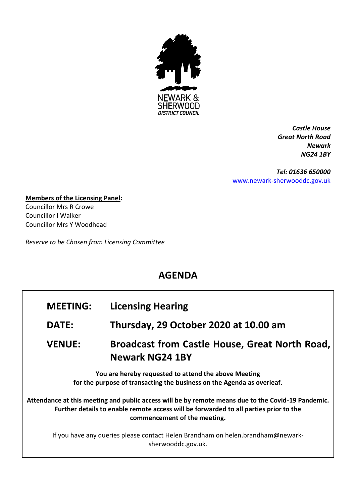

*Castle House Great North Road Newark NG24 1BY*

*Tel: 01636 650000* [www.newark-sherwooddc.gov.uk](http://www.newark-sherwooddc.gov.uk/)

**Members of the Licensing Panel:** Councillor Mrs R Crowe Councillor I Walker Councillor Mrs Y Woodhead

*Reserve to be Chosen from Licensing Committee*

## **AGENDA**

| <b>MEETING:</b>                                                                                                                                                                                                             | <b>Licensing Hearing</b>                                                 |  |
|-----------------------------------------------------------------------------------------------------------------------------------------------------------------------------------------------------------------------------|--------------------------------------------------------------------------|--|
| <b>DATE:</b>                                                                                                                                                                                                                | Thursday, 29 October 2020 at 10.00 am                                    |  |
| <b>VENUE:</b>                                                                                                                                                                                                               | Broadcast from Castle House, Great North Road,<br><b>Newark NG24 1BY</b> |  |
| You are hereby requested to attend the above Meeting<br>for the purpose of transacting the business on the Agenda as overleaf.                                                                                              |                                                                          |  |
| Attendance at this meeting and public access will be by remote means due to the Covid-19 Pandemic.<br>Further details to enable remote access will be forwarded to all parties prior to the<br>commencement of the meeting. |                                                                          |  |
| If you have any queries please contact Helen Brandham on helen.brandham@newark-<br>sherwooddc.gov.uk.                                                                                                                       |                                                                          |  |